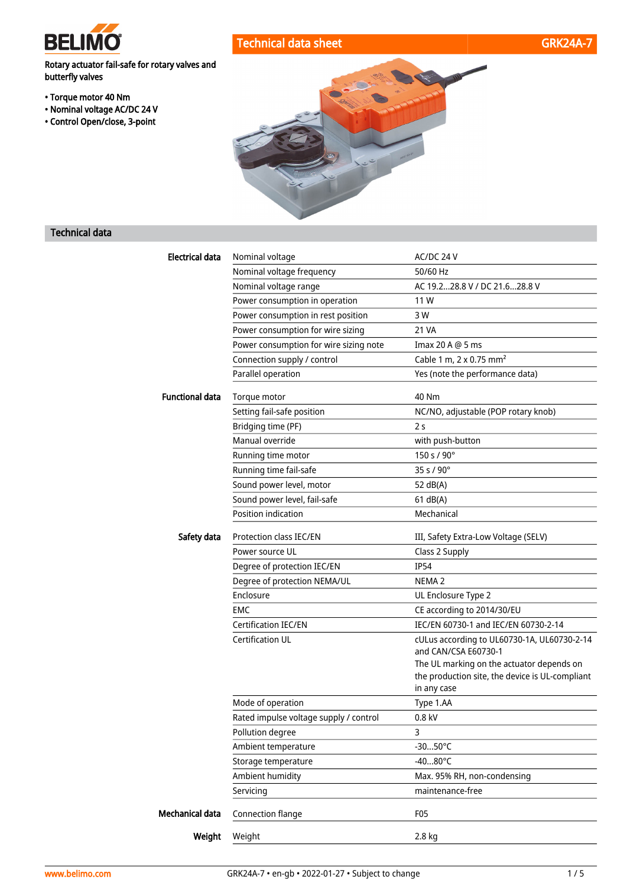

# Technical data sheet GRK24A-7



Rotary actuator fail-safe for rotary valves and butterfly valves

- Torque motor 40 Nm
- Nominal voltage AC/DC 24 V
- Control Open/close, 3-point



# Technical data

| <b>Electrical data</b> | Nominal voltage                        | AC/DC 24 V                                                        |
|------------------------|----------------------------------------|-------------------------------------------------------------------|
|                        | Nominal voltage frequency              | 50/60 Hz                                                          |
|                        | Nominal voltage range                  | AC 19.228.8 V / DC 21.628.8 V                                     |
|                        | Power consumption in operation         | 11 W                                                              |
|                        | Power consumption in rest position     | 3 W                                                               |
|                        | Power consumption for wire sizing      | 21 VA                                                             |
|                        | Power consumption for wire sizing note | Imax 20 A @ 5 ms                                                  |
|                        | Connection supply / control            | Cable 1 m, $2 \times 0.75$ mm <sup>2</sup>                        |
|                        | Parallel operation                     | Yes (note the performance data)                                   |
| <b>Functional data</b> | Torque motor                           | 40 Nm                                                             |
|                        | Setting fail-safe position             | NC/NO, adjustable (POP rotary knob)                               |
|                        | Bridging time (PF)                     | 2 <sub>s</sub>                                                    |
|                        | Manual override                        | with push-button                                                  |
|                        | Running time motor                     | 150 s / 90°                                                       |
|                        | Running time fail-safe                 | 35 s / 90°                                                        |
|                        | Sound power level, motor               | 52 dB(A)                                                          |
|                        | Sound power level, fail-safe           | 61 dB(A)                                                          |
|                        | Position indication                    | Mechanical                                                        |
| Safety data            | Protection class IEC/EN                | III, Safety Extra-Low Voltage (SELV)                              |
|                        | Power source UL                        | Class 2 Supply                                                    |
|                        | Degree of protection IEC/EN            | <b>IP54</b>                                                       |
|                        | Degree of protection NEMA/UL           | NEMA <sub>2</sub>                                                 |
|                        | Enclosure                              | UL Enclosure Type 2                                               |
|                        | EMC                                    | CE according to 2014/30/EU                                        |
|                        | <b>Certification IEC/EN</b>            | IEC/EN 60730-1 and IEC/EN 60730-2-14                              |
|                        | <b>Certification UL</b>                | cULus according to UL60730-1A, UL60730-2-14                       |
|                        |                                        | and CAN/CSA E60730-1<br>The UL marking on the actuator depends on |
|                        |                                        | the production site, the device is UL-compliant                   |
|                        |                                        | in any case                                                       |
|                        | Mode of operation                      | Type 1.AA                                                         |
|                        | Rated impulse voltage supply / control | 0.8 kV                                                            |
|                        | Pollution degree                       | 3                                                                 |
|                        | Ambient temperature                    | $-3050^{\circ}C$                                                  |
|                        | Storage temperature                    | $-4080^{\circ}$ C                                                 |
|                        | Ambient humidity                       | Max. 95% RH, non-condensing                                       |
|                        | Servicing                              | maintenance-free                                                  |
| Mechanical data        | Connection flange                      | F05                                                               |
| Weight                 | Weight                                 | 2.8 kg                                                            |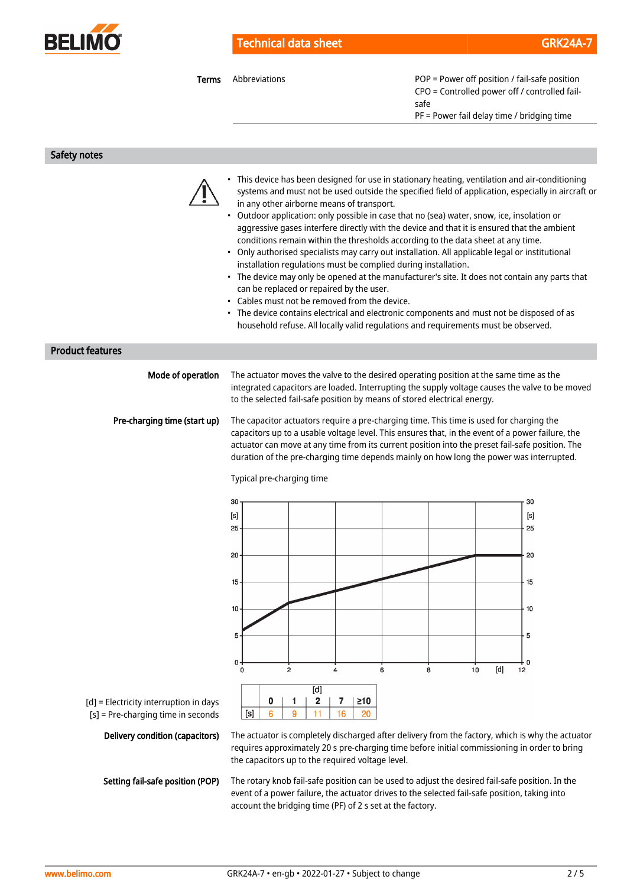

**Terms** Abbreviations **Abbreviations POP** = Power off position / fail-safe position CPO = Controlled power off / controlled failsafe

PF = Power fail delay time / bridging time

Safety notes



- This device has been designed for use in stationary heating, ventilation and air-conditioning systems and must not be used outside the specified field of application, especially in aircraft or in any other airborne means of transport.
- Outdoor application: only possible in case that no (sea) water, snow, ice, insolation or aggressive gases interfere directly with the device and that it is ensured that the ambient conditions remain within the thresholds according to the data sheet at any time.
- Only authorised specialists may carry out installation. All applicable legal or institutional installation regulations must be complied during installation.
- The device may only be opened at the manufacturer's site. It does not contain any parts that can be replaced or repaired by the user.
- Cables must not be removed from the device.
- The device contains electrical and electronic components and must not be disposed of as household refuse. All locally valid regulations and requirements must be observed.

#### Product features

| Mode of operation            | The actuator moves the valve to the desired operating position at the same time as the<br>integrated capacitors are loaded. Interrupting the supply voltage causes the valve to be moved<br>to the selected fail-safe position by means of stored electrical energy.                                                                                                                      |
|------------------------------|-------------------------------------------------------------------------------------------------------------------------------------------------------------------------------------------------------------------------------------------------------------------------------------------------------------------------------------------------------------------------------------------|
| Pre-charging time (start up) | The capacitor actuators require a pre-charging time. This time is used for charging the<br>capacitors up to a usable voltage level. This ensures that, in the event of a power failure, the<br>actuator can move at any time from its current position into the preset fail-safe position. The<br>duration of the pre-charging time depends mainly on how long the power was interrupted. |



Typical pre-charging time

[d] = Electricity interruption in days [s] = Pre-charging time in seconds

Delivery condition (capacitors)

Setting fail-safe position (POP)

The actuator is completely discharged after delivery from the factory, which is why the actuator requires approximately 20 s pre-charging time before initial commissioning in order to bring the capacitors up to the required voltage level.

The rotary knob fail-safe position can be used to adjust the desired fail-safe position. In the event of a power failure, the actuator drives to the selected fail-safe position, taking into account the bridging time (PF) of 2 s set at the factory.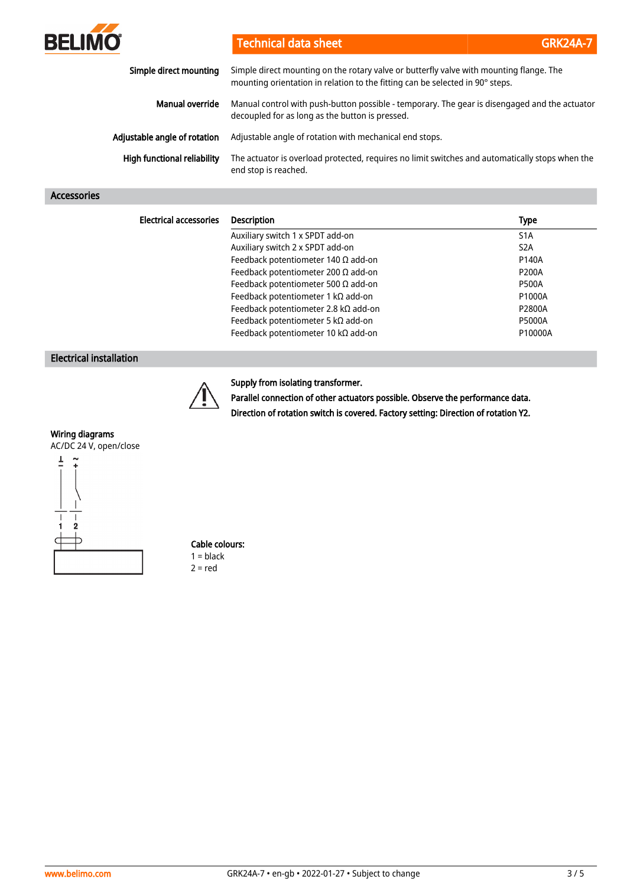

Technical data sheet GRK24A-7

| Simple direct mounting             | Simple direct mounting on the rotary valve or butterfly valve with mounting flange. The<br>mounting orientation in relation to the fitting can be selected in 90° steps. |
|------------------------------------|--------------------------------------------------------------------------------------------------------------------------------------------------------------------------|
| Manual override                    | Manual control with push-button possible - temporary. The gear is disengaged and the actuator<br>decoupled for as long as the button is pressed.                         |
| Adjustable angle of rotation       | Adjustable angle of rotation with mechanical end stops.                                                                                                                  |
| <b>High functional reliability</b> | The actuator is overload protected, requires no limit switches and automatically stops when the<br>end stop is reached.                                                  |

### Accessories

| <b>Electrical accessories</b> | <b>Description</b>                           | <b>Type</b>      |
|-------------------------------|----------------------------------------------|------------------|
|                               | Auxiliary switch 1 x SPDT add-on             | S <sub>1</sub> A |
|                               | Auxiliary switch 2 x SPDT add-on             | S <sub>2</sub> A |
|                               | Feedback potentiometer 140 $\Omega$ add-on   | P140A            |
|                               | Feedback potentiometer 200 $\Omega$ add-on   | <b>P200A</b>     |
|                               | Feedback potentiometer 500 $\Omega$ add-on   | <b>P500A</b>     |
|                               | Feedback potentiometer 1 k $\Omega$ add-on   | P1000A           |
|                               | Feedback potentiometer 2.8 k $\Omega$ add-on | P2800A           |
|                               | Feedback potentiometer 5 k $\Omega$ add-on   | <b>P5000A</b>    |
|                               | Feedback potentiometer 10 kΩ add-on          | P10000A          |

### Electrical installation



#### Supply from isolating transformer.

Parallel connection of other actuators possible. Observe the performance data.

Direction of rotation switch is covered. Factory setting: Direction of rotation Y2.

## Wiring diagrams



#### Cable colours:  $1 = **black**$  $2 = red$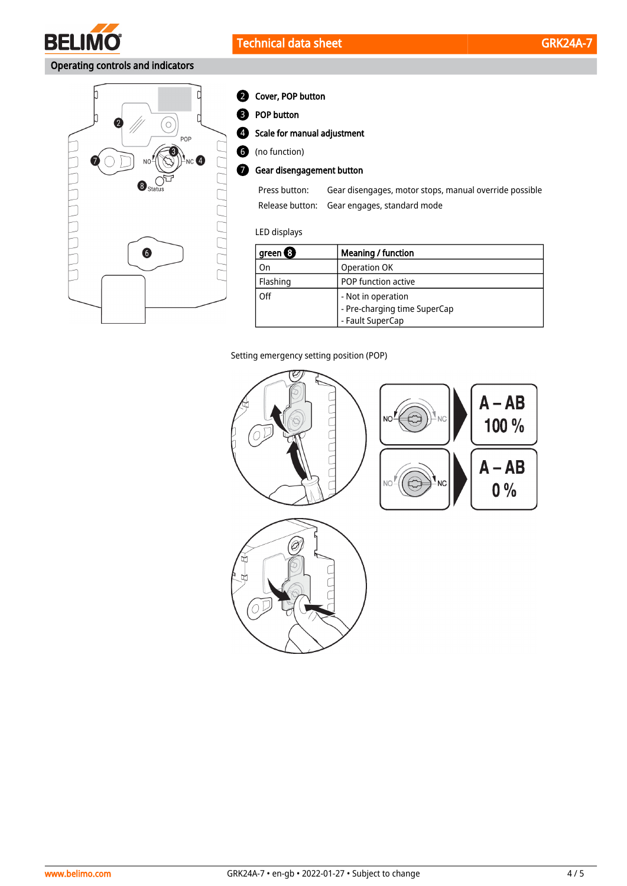

# Operating controls and indicators



### 2 Cover, POP button

**B** POP button

Scale for manual adjustment 4

(no function) 6

**7** Gear disengagement button

| Press button: | Gear disengages, motor stops, manual override possible |
|---------------|--------------------------------------------------------|
|               | Release button: Gear engages, standard mode            |

### LED displays

| ' green $\bm{\Theta}$ | Meaning / function                                 |
|-----------------------|----------------------------------------------------|
| On                    | Operation OK                                       |
| Flashing              | POP function active                                |
| Off                   | - Not in operation<br>- Pre-charging time SuperCap |
|                       | - Fault SuperCap                                   |

Setting emergency setting position (POP)